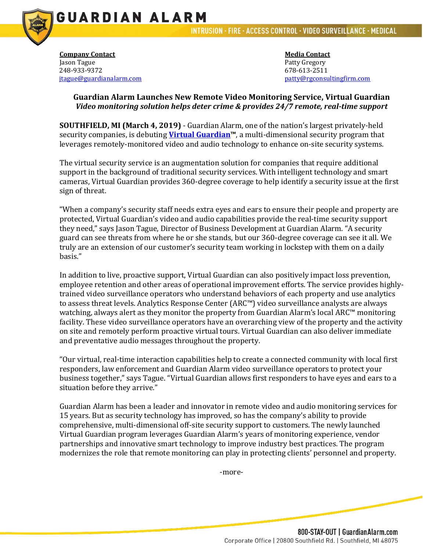

**Company Contact Company Contact Media Contact** Jason Tague **Patty Gregory** 248-933-9372 678-613-2511

**GUARDIAN ALARM** 

[patty@rgconsultingfirm.com](mailto:patty@rgconsultingfirm.com)

## **Guardian Alarm Launches New Remote Video Monitoring Service, Virtual Guardian**  *Video monitoring solution helps deter crime & provides 24/7 remote, real-time support*

**SOUTHFIELD, MI (March 4, 2019)** - Guardian Alarm, one of the nation's largest privately-held security companies, is debuting **[Virtual Guardian™](https://guardianalarm.com/virtual/)**, a multi-dimensional security program that leverages remotely-monitored video and audio technology to enhance on-site security systems.

The virtual security service is an augmentation solution for companies that require additional support in the background of traditional security services. With intelligent technology and smart cameras, Virtual Guardian provides 360-degree coverage to help identify a security issue at the first sign of threat.

"When a company's security staff needs extra eyes and ears to ensure their people and property are protected, Virtual Guardian's video and audio capabilities provide the real-time security support they need," says Jason Tague, Director of Business Development at Guardian Alarm. "A security guard can see threats from where he or she stands, but our 360-degree coverage can see it all. We truly are an extension of our customer's security team working in lockstep with them on a daily basis."

In addition to live, proactive support, Virtual Guardian can also positively impact loss prevention, employee retention and other areas of operational improvement efforts. The service provides highlytrained video surveillance operators who understand behaviors of each property and use analytics to assess threat levels. Analytics Response Center (ARC™) video surveillance analysts are always watching, always alert as they monitor the property from Guardian Alarm's local ARC™ monitoring facility. These video surveillance operators have an overarching view of the property and the activity on site and remotely perform proactive virtual tours. Virtual Guardian can also deliver immediate and preventative audio messages throughout the property.

"Our virtual, real-time interaction capabilities help to create a connected community with local first responders, law enforcement and Guardian Alarm video surveillance operators to protect your business together," says Tague. "Virtual Guardian allows first responders to have eyes and ears to a situation before they arrive."

Guardian Alarm has been a leader and innovator in remote video and audio monitoring services for 15 years. But as security technology has improved, so has the company's ability to provide comprehensive, multi-dimensional off-site security support to customers. The newly launched Virtual Guardian program leverages Guardian Alarm's years of monitoring experience, vendor partnerships and innovative smart technology to improve industry best practices. The program modernizes the role that remote monitoring can play in protecting clients' personnel and property.

-more-

800-STAY-OUT | GuardianAlarm.com Corporate Office | 20800 Southfield Rd. | Southfield, MI 48075